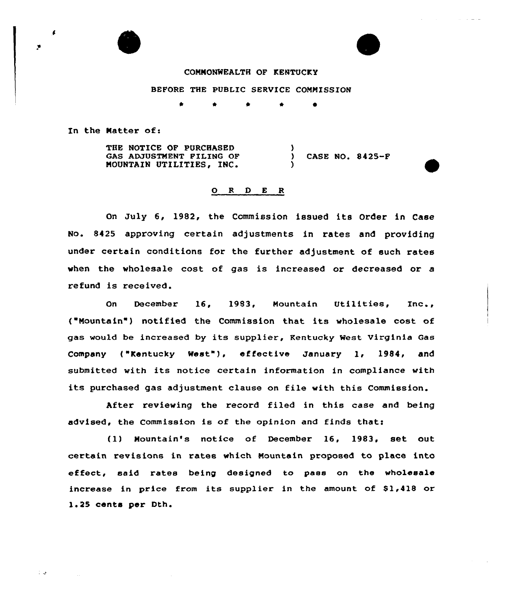

## CONNONNEALTH OF KENTUCKY

BEFORE THE PUBLIC SERVICE COMMISSION

\*

In the Natter of:

THE NOTICE OF PURCHASED GAS ADJUSTMENT FILING OF MOUNTAIN UTILITIES, INC.

) CASE NO. 8425-F

## 0 <sup>R</sup> <sup>D</sup> E R

 $\frac{1}{2}$ 

)

On July 6, 1982, the Commission issued its Order in Case No. 8425 approving certain adjustments in rates and providing under certain conditions for the further adjustment of such rates when the wholesale cost of gas is increased or decreased or a refund is received.

On December 16, 1983, Mountain Utilities, Inc., ("Mountain") notified the Commission that its wholesale cost of gas would be increased by its supplier, Kentucky West Virginia Gas Company ("Kentucky West"), effective January 1, 1984, and submitted with its notice certain information in compliance with its purchased gas adjustment clause on file with this Commission.

After reviewing the record filed in this case and being advised, the Commission is of the opinion and finds that<

(1) Mountain's notice of December 16, 1983, set out certain revisions in rates which Mountain proposed to place into effect, said rates being designed to pass on the wholesale increase in price from its supplier in the amount of \$1,418 or l. <sup>25</sup> cents per Dth.

 $\mathcal{I} \subset \mathcal{I}$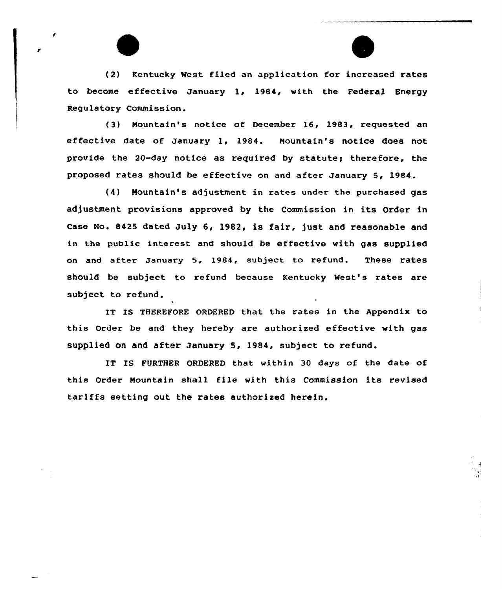(2) Kentucky %est filed an application for increased rates to become effective January 1, 1984, with the Federal Energy Regulatory Commission.

(3) Mountain's notice of December 16, 1983, requested an effective date of January 1, 1984. Mountain's notice does not provide the 20-day notice as required by statute; therefore, the proposed rates should be effective on and after January 5, 1984.

(4) Mountain's adjustment in rates under the purchased gas adjustment provisions approved by the Commission in its Order in Case No. 8425 dated July 6, l982, is fair, just and reasonable and in the public interest and should be effective with gas supplied on and after January 5, 1984, subject to refund. These rates should be subject to refund because Kentucky Nest's rates are subject to refund.

IT ES THEREFORE ORDERED that the rates in the Appendix to this Order be and they hereby are authorized effective with gas supplied on and after January 5, 1984, subject to refund.

IT IS FURTHER ORDERED that within 30 days of the date of this Order Mountain shall file with this Commission its revised tariffs setting out the rates authorized herein.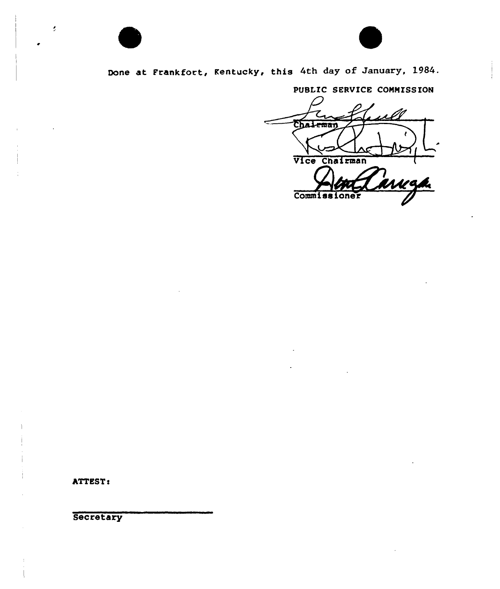

# Done at Frankfort, Kentucky, this 4th day of January, 1984.

PUBLIC SERVICE COMMISSION

Chaleman Vice Chairman n<br>arkga  $\overline{\mathrm{Comn1}}$ 

ATTEST:

ł,

**Secretary**